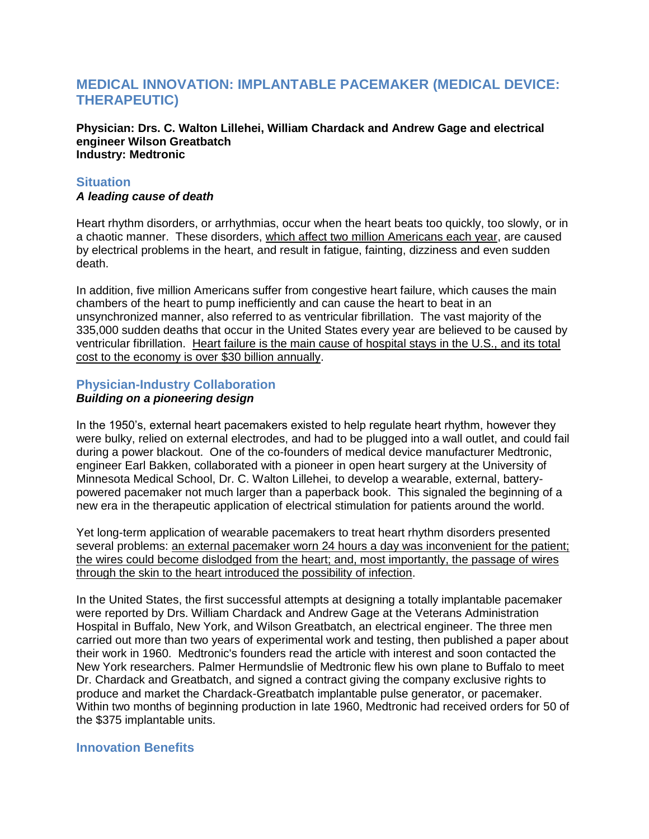# **MEDICAL INNOVATION: IMPLANTABLE PACEMAKER (MEDICAL DEVICE: THERAPEUTIC)**

**Physician: Drs. C. Walton Lillehei, William Chardack and Andrew Gage and electrical engineer Wilson Greatbatch Industry: Medtronic**

## **Situation**

### *A leading cause of death*

Heart rhythm disorders, or arrhythmias, occur when the heart beats too quickly, too slowly, or in a chaotic manner. These disorders, which affect two million Americans each year, are caused by electrical problems in the heart, and result in fatigue, fainting, dizziness and even sudden death.

In addition, five million Americans suffer from congestive heart failure, which causes the main chambers of the heart to pump inefficiently and can cause the heart to beat in an unsynchronized manner, also referred to as ventricular fibrillation. The vast majority of the 335,000 sudden deaths that occur in the United States every year are believed to be caused by ventricular fibrillation. Heart failure is the main cause of hospital stays in the U.S., and its total cost to the economy is over \$30 billion annually.

# **Physician-Industry Collaboration**

## *Building on a pioneering design*

In the 1950's, external heart pacemakers existed to help regulate heart rhythm, however they were bulky, relied on external electrodes, and had to be plugged into a wall outlet, and could fail during a power blackout. One of the co-founders of medical device manufacturer Medtronic, engineer Earl Bakken, collaborated with a pioneer in open heart surgery at the University of Minnesota Medical School, Dr. C. Walton Lillehei, to develop a wearable, external, batterypowered pacemaker not much larger than a paperback book. This signaled the beginning of a new era in the therapeutic application of electrical stimulation for patients around the world.

Yet long-term application of wearable pacemakers to treat heart rhythm disorders presented several problems: an external pacemaker worn 24 hours a day was inconvenient for the patient; the wires could become dislodged from the heart; and, most importantly, the passage of wires through the skin to the heart introduced the possibility of infection.

In the United States, the first successful attempts at designing a totally implantable pacemaker were reported by Drs. William Chardack and Andrew Gage at the Veterans Administration Hospital in Buffalo, New York, and Wilson Greatbatch, an electrical engineer. The three men carried out more than two years of experimental work and testing, then published a paper about their work in 1960. Medtronic's founders read the article with interest and soon contacted the New York researchers. Palmer Hermundslie of Medtronic flew his own plane to Buffalo to meet Dr. Chardack and Greatbatch, and signed a contract giving the company exclusive rights to produce and market the Chardack-Greatbatch implantable pulse generator, or pacemaker. Within two months of beginning production in late 1960, Medtronic had received orders for 50 of the \$375 implantable units.

### **Innovation Benefits**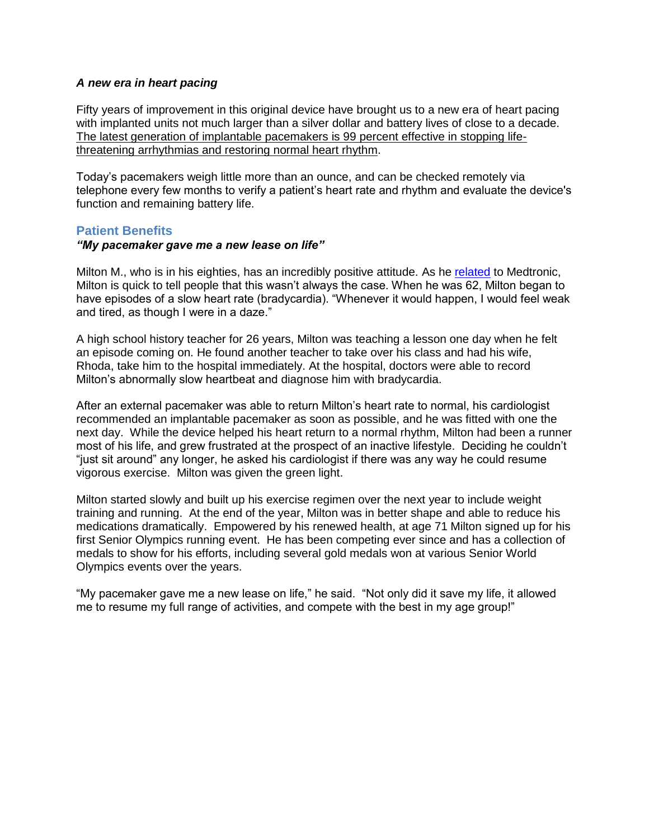#### *A new era in heart pacing*

Fifty years of improvement in this original device have brought us to a new era of heart pacing with implanted units not much larger than a silver dollar and battery lives of close to a decade. The latest generation of implantable pacemakers is 99 percent effective in stopping lifethreatening arrhythmias and restoring normal heart rhythm.

Today's pacemakers weigh little more than an ounce, and can be checked remotely via telephone every few months to verify a patient's heart rate and rhythm and evaluate the device's function and remaining battery life.

### **Patient Benefits**

### *"My pacemaker gave me a new lease on life"*

Milton M., who is in his eighties, has an incredibly positive attitude. As he [related](http://www.medtronic.com/health-consumers/bradycardia/personal-stories/milton-story/index.htm) to Medtronic, Milton is quick to tell people that this wasn't always the case. When he was 62, Milton began to have episodes of a slow heart rate (bradycardia). "Whenever it would happen, I would feel weak and tired, as though I were in a daze."

A high school history teacher for 26 years, Milton was teaching a lesson one day when he felt an episode coming on. He found another teacher to take over his class and had his wife, Rhoda, take him to the hospital immediately. At the hospital, doctors were able to record Milton's abnormally slow heartbeat and diagnose him with bradycardia.

After an external pacemaker was able to return Milton's heart rate to normal, his cardiologist recommended an implantable pacemaker as soon as possible, and he was fitted with one the next day. While the device helped his heart return to a normal rhythm, Milton had been a runner most of his life, and grew frustrated at the prospect of an inactive lifestyle. Deciding he couldn't "just sit around" any longer, he asked his cardiologist if there was any way he could resume vigorous exercise. Milton was given the green light.

Milton started slowly and built up his exercise regimen over the next year to include weight training and running. At the end of the year, Milton was in better shape and able to reduce his medications dramatically. Empowered by his renewed health, at age 71 Milton signed up for his first Senior Olympics running event. He has been competing ever since and has a collection of medals to show for his efforts, including several gold medals won at various Senior World Olympics events over the years.

"My pacemaker gave me a new lease on life," he said. "Not only did it save my life, it allowed me to resume my full range of activities, and compete with the best in my age group!"